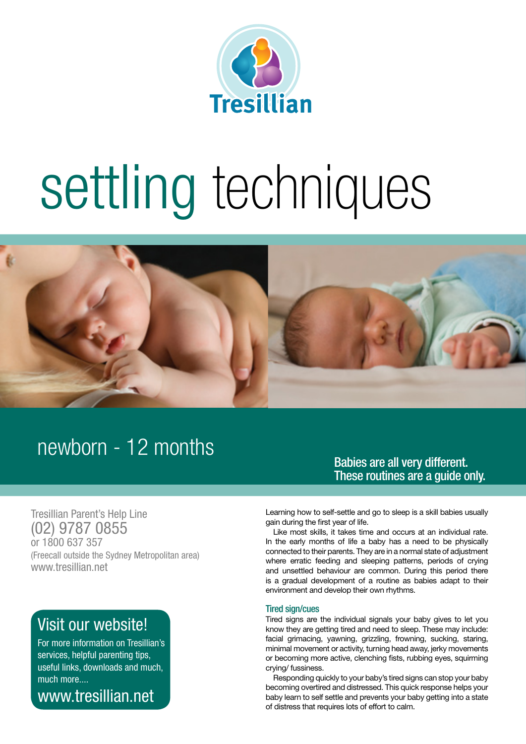

# settling techniques



# newborn - 12 months

Babies are all very different. These routines are a guide only.

Tresillian Parent's Help Line (02) 9787 0855 or 1800 637 357 (Freecall outside the Sydney Metropolitan area) www.tresillian.net

### Visit our website!

For more information on Tresillian's services, helpful parenting tips, useful links, downloads and much, much more....

www.tresillian.net

Learning how to self-settle and go to sleep is a skill babies usually gain during the first year of life.

Like most skills, it takes time and occurs at an individual rate. In the early months of life a baby has a need to be physically connected to their parents. They are in a normal state of adjustment where erratic feeding and sleeping patterns, periods of crying and unsettled behaviour are common. During this period there is a gradual development of a routine as babies adapt to their environment and develop their own rhythms.

#### Tired sign/cues

Tired signs are the individual signals your baby gives to let you know they are getting tired and need to sleep. These may include: facial grimacing, yawning, grizzling, frowning, sucking, staring, minimal movement or activity, turning head away, jerky movements or becoming more active, clenching fists, rubbing eyes, squirming crying/ fussiness.

Responding quickly to your baby's tired signs can stop your baby becoming overtired and distressed. This quick response helps your baby learn to self settle and prevents your baby getting into a state of distress that requires lots of effort to calm.